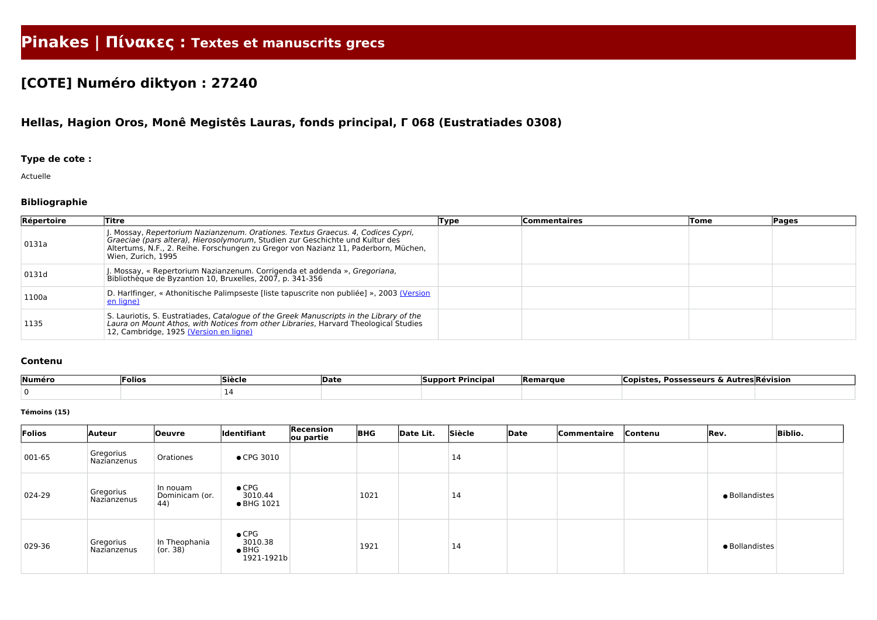# **Pinakes | Πίνακες : Textes et manuscrits grecs**

## **[COTE] Numéro diktyon : 27240**

## **Hellas, Hagion Oros, Monê Megistês Lauras, fonds principal, Γ 068 (Eustratiades 0308)**

### **Type de cote :**

Actuelle

### **Bibliographie**

| Répertoire | <b>Titre</b>                                                                                                                                                                                                                                                                  | Type | <b>Commentaires</b> | Tome | Pages |
|------------|-------------------------------------------------------------------------------------------------------------------------------------------------------------------------------------------------------------------------------------------------------------------------------|------|---------------------|------|-------|
| 0131a      | . Mossay, Repertorium Nazianzenum. Orationes. Textus Graecus. 4, Codices Cypri,<br>Graeciae (pars altera), Hierosolymorum, Studien zur Geschichte und Kultur des<br>Altertums, N.F., 2. Reihe. Forschungen zu Gregor von Nazianz 11, Paderborn, Müchen,<br>Wien, Zurich, 1995 |      |                     |      |       |
| 0131d      | . Mossay, « Repertorium Nazianzenum. Corrigenda et addenda », Gregoriana,<br>Bibliothèque de Byzantion 10, Bruxelles, 2007, p. 341-356                                                                                                                                        |      |                     |      |       |
| 1100a      | D. Harlfinger, « Athonitische Palimpseste [liste tapuscrite non publiée] », 2003 (Version<br>en ligne)                                                                                                                                                                        |      |                     |      |       |
| 1135       | S. Lauriotis, S. Eustratiades, Catalogue of the Greek Manuscripts in the Library of the<br>Laura on Mount Athos, with Notices from other Libraries, Harvard Theological Studies<br>12, Cambridge, 1925 (Version en ligne)                                                     |      |                     |      |       |

#### **Contenu**

| Numéro | Folios | Siècle | <b>Date</b> | --<br>Principa.<br> Support | <b>Remarque</b> | Possesseurs $\&$ $\wedge$<br>⊪CODi⊂* <sup>~</sup> | <b>Autres Révision</b> |
|--------|--------|--------|-------------|-----------------------------|-----------------|---------------------------------------------------|------------------------|
|        |        |        |             |                             |                 |                                                   |                        |

#### **Témoins (15)**

| Folios | <b>Auteur</b>                   | <b>Oeuvre</b>                              | <b>Identifiant</b>                                      | Recension<br>ou partie | <b>BHG</b> | Date Lit. | Siècle | Date | Commentaire | Contenu | Rev.           | <b>Biblio.</b> |
|--------|---------------------------------|--------------------------------------------|---------------------------------------------------------|------------------------|------------|-----------|--------|------|-------------|---------|----------------|----------------|
| 001-65 | Gregorius<br><b>Nazianzenus</b> | Orationes                                  | $\bullet$ CPG 3010                                      |                        |            |           | 14     |      |             |         |                |                |
| 024-29 | Gregorius<br>Nazianzenus        | In nouam<br>Dominicam (or.<br>$ 44\rangle$ | $\bullet$ CPG<br>3010.44<br>• BHG 1021                  |                        | 1021       |           | 14     |      |             |         | · Bollandistes |                |
| 029-36 | Gregorius<br><b>Nazianzenus</b> | In Theophania<br>(or. 38)                  | $\bullet$ CPG<br>3010.38<br>$\bullet$ BHG<br>1921-1921b |                        | 1921       |           | 14     |      |             |         | · Bollandistes |                |